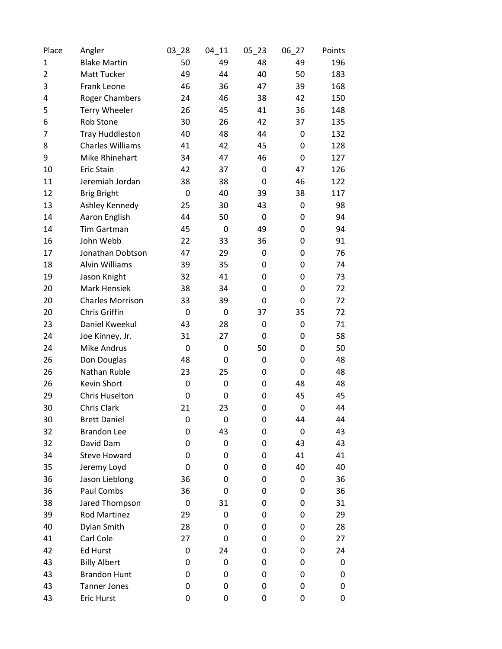| Place          | Angler                  | $03 - 28$   | $04 - 11$ | $05 - 23$   | $06 - 27$        | Points |
|----------------|-------------------------|-------------|-----------|-------------|------------------|--------|
| 1              | <b>Blake Martin</b>     | 50          | 49        | 48          | 49               | 196    |
| $\overline{2}$ | Matt Tucker             | 49          | 44        | 40          | 50               | 183    |
| 3              | Frank Leone             | 46          | 36        | 47          | 39               | 168    |
| 4              | <b>Roger Chambers</b>   | 24          | 46        | 38          | 42               | 150    |
| 5              | <b>Terry Wheeler</b>    | 26          | 45        | 41          | 36               | 148    |
| 6              | Rob Stone               | 30          | 26        | 42          | 37               | 135    |
| 7              | <b>Tray Huddleston</b>  | 40          | 48        | 44          | 0                | 132    |
| 8              | <b>Charles Williams</b> | 41          | 42        | 45          | 0                | 128    |
| 9              | Mike Rhinehart          | 34          | 47        | 46          | 0                | 127    |
| 10             | <b>Eric Stain</b>       | 42          | 37        | 0           | 47               | 126    |
| 11             | Jeremiah Jordan         | 38          | 38        | $\mathbf 0$ | 46               | 122    |
| 12             | <b>Brig Bright</b>      | 0           | 40        | 39          | 38               | 117    |
| 13             | Ashley Kennedy          | 25          | 30        | 43          | 0                | 98     |
| 14             | Aaron English           | 44          | 50        | $\mathbf 0$ | 0                | 94     |
| 14             | Tim Gartman             | 45          | 0         | 49          | 0                | 94     |
| 16             | John Webb               | 22          | 33        | 36          | 0                | 91     |
| 17             | Jonathan Dobtson        | 47          | 29        | 0           | 0                | 76     |
| 18             | Alvin Williams          | 39          | 35        | 0           | 0                | 74     |
| 19             | Jason Knight            | 32          | 41        | 0           | 0                | 73     |
| 20             | <b>Mark Hensiek</b>     | 38          | 34        | 0           | 0                | 72     |
| 20             | <b>Charles Morrison</b> | 33          | 39        | 0           | 0                | 72     |
| 20             | Chris Griffin           | 0           | 0         | 37          | 35               | 72     |
| 23             | Daniel Kweekul          | 43          | 28        | 0           | 0                | 71     |
| 24             | Joe Kinney, Jr.         | 31          | 27        | 0           | 0                | 58     |
| 24             | <b>Mike Andrus</b>      | $\mathbf 0$ | 0         | 50          | 0                | 50     |
| 26             | Don Douglas             | 48          | 0         | 0           | 0                | 48     |
| 26             | Nathan Ruble            | 23          | 25        | 0           | $\mathbf 0$      | 48     |
| 26             | Kevin Short             | 0           | 0         | 0           | 48               | 48     |
| 29             | <b>Chris Huselton</b>   | 0           | 0         | 0           | 45               | 45     |
| 30             | Chris Clark             | 21          | 23        | 0           | 0                | 44     |
| 30             | <b>Brett Daniel</b>     | 0           | 0         | 0           | 44               | 44     |
| 32             | <b>Brandon Lee</b>      | 0           | 43        | 0           | $\boldsymbol{0}$ | 43     |
| 32             | David Dam               | 0           | 0         | 0           | 43               | 43     |
| 34             | <b>Steve Howard</b>     | 0           | 0         | 0           | 41               | 41     |
| 35             | Jeremy Loyd             | 0           | 0         | 0           | 40               | 40     |
| 36             | Jason Lieblong          | 36          | 0         | 0           | 0                | 36     |
| 36             | Paul Combs              | 36          | 0         | 0           | 0                | 36     |
| 38             | Jared Thompson          | 0           | 31        | 0           | 0                | 31     |
| 39             | Rod Martinez            | 29          | 0         | 0           | 0                | 29     |
| 40             | Dylan Smith             | 28          | 0         | 0           | 0                | 28     |
| 41             | Carl Cole               | 27          | 0         | 0           | 0                | 27     |
| 42             | <b>Ed Hurst</b>         | 0           | 24        | 0           | 0                | 24     |
| 43             | <b>Billy Albert</b>     | 0           | 0         | 0           | 0                | 0      |
| 43             | <b>Brandon Hunt</b>     | 0           | 0         | 0           | 0                | 0      |
| 43             | <b>Tanner Jones</b>     | 0           | 0         | 0           | 0                | 0      |
| 43             | Eric Hurst              | 0           | 0         | 0           | 0                | 0      |